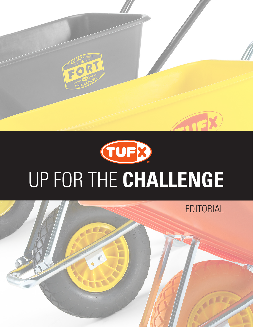

## **TUFB** UP FOR THE **CHALLENGE**

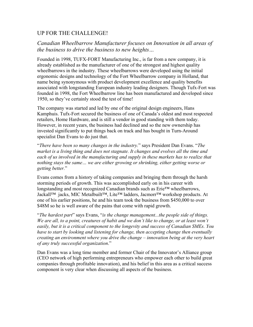## UP FOR THE CHALLENGE!

## *Canadian Wheelbarrow Manufacturer focuses on Innovation in all areas of the business to drive the business to new heights…*

Founded in 1998, TUFX-FORT Manufacturing Inc., is far from a new company, it is already established as the manufacturer of one of the strongest and highest quality wheelbarrows in the industry. These wheelbarrows were developed using the initial ergonomic designs and technology of the Fort Wheelbarrow company in Holland, that name being synonymous with product development excellence and quality benefits associated with longstanding European industry leading designers. Though Tufx-Fort was founded in 1998, the Fort Wheelbarrow line has been manufactured and developed since 1950, so they've certainly stood the test of time!

The company was started and led by one of the original design engineers, Hans Kamphuis. Tufx-Fort secured the business of one of Canada's oldest and most respected retailers, Home Hardware, and is still a vendor in good standing with them today. However, in recent years, the business had declined and so the new ownership has invested significantly to put things back on track and has bought in Turn-Around specialist Dan Evans to do just that.

"*There have been so many changes in the industry.*" says President Dan Evans. "*The market is a living thing and does not stagnate. It changes and evolves all the time and each of us involved in the manufacturing and supply in these markets has to realize that nothing stays the same… we are either growing or shrinking, either getting worse or getting better.*"

Evans comes from a history of taking companies and bringing them through the harsh storming periods of growth. This was accomplished early on in his career with longstanding and most recognized Canadian brands such as Erie™ wheelbarrows, Jackall™ jacks, MIC Metalbuilt™, Lite™ ladders, Jacmorr™ workshop products. At one of his earlier positions, he and his team took the business from \$450,000 to over \$48M so he is well aware of the pains that come with rapid growth.

"*The hardest part*" says Evans, "*is the change management...the people side of things. We are all, to a point, creatures of habit and we don't like to change, or at least won't easily, but it is a critical component to the longevity and success of Canadian SMEs. You have to start by looking and listening for change, then accepting change then eventually creating an environment where you drive the change – innovation being at the very heart of any truly successful organization*."

Dan Evans was a long time member and former Chair of the Innovator's Alliance group (CEO network of high performing entrepreneurs who empower each other to build great companies through profitable innovation), and his belief in this area as a critical success component is very clear when discussing all aspects of the business.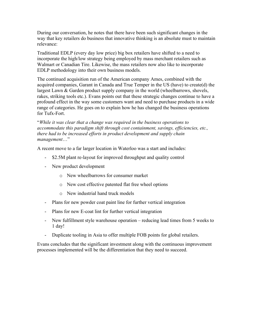During our conversation, he notes that there have been such significant changes in the way that key retailers do business that innovative thinking is an absolute must to maintain relevance:

Traditional EDLP (every day low price) big box retailers have shifted to a need to incorporate the high/low strategy being employed by mass merchant retailers such as Walmart or Canadian Tire. Likewise, the mass retailers now also like to incorporate EDLP methodology into their own business models.

The continued acquisition run of the American company Ames, combined with the acquired companies, Garant in Canada and True Temper in the US (have) to create(d) the largest Lawn & Garden product supply company in the world (wheelbarrows, shovels, rakes, striking tools etc.). Evans points out that these strategic changes continue to have a profound effect in the way some customers want and need to purchase products in a wide range of categories. He goes on to explain how he has changed the business operations for Tufx-Fort.

"*While it was clear that a change was required in the business operations to accommodate this paradigm shift through cost containment, savings, efficiencies, etc., there had to be increased efforts in product development and supply chain management*…"

A recent move to a far larger location in Waterloo was a start and includes:

- \$2.5M plant re-layout for improved throughput and quality control
- New product development
	- o New wheelbarrows for consumer market
	- o New cost effective patented flat free wheel options
	- o New industrial hand truck models
- Plans for new powder coat paint line for further vertical integration
- Plans for new E-coat lint for further vertical integration
- New fulfillment style warehouse operation reducing lead times from 5 weeks to 1 day!
- Duplicate tooling in Asia to offer multiple FOB points for global retailers.

Evans concludes that the significant investment along with the continuous improvement processes implemented will be the differentiation that they need to succeed.